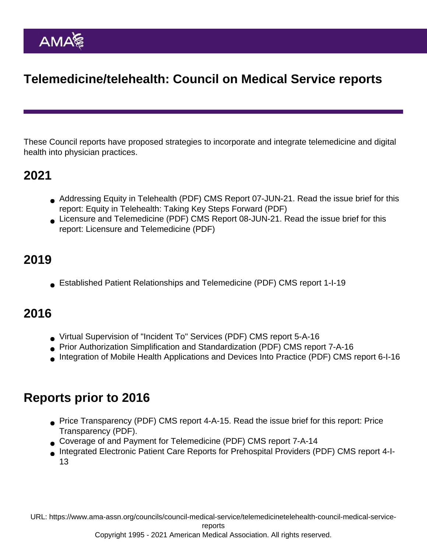# Telemedicine/telehealth: Council on Medical Service reports

These Council reports have proposed strategies to incorporate and integrate telemedicine and digital health into physician practices.

### 2021

- [Addressing Equity in Telehealth](https://www.ama-assn.org/system/files/2021-06/j21-cms-report-7.pdf) (PDF) CMS Report 07-JUN-21. Read the issue brief for this report: [Equity in Telehealth: Taking Key Steps Forward](https://www.ama-assn.org/system/files/issue-brief-equity-in-telehealth.pdf) (PDF)
- [Licensure and Telemedicine](https://www.ama-assn.org/system/files/2021-06/j21-cms-report-8.pdf) (PDF) CMS Report 08-JUN-21. Read the issue brief for this report: [Licensure and Telemedicine](https://www.ama-assn.org/system/files/issue-brief-licensure-telehealth.pdf) (PDF)

## 2019

[Established Patient Relationships and Telemedicine](https://www.ama-assn.org/system/files/2019-12/i19-cms-report1-patient-relations-telemedicine.pdf) (PDF) CMS report 1-I-19

# 2016

- [Virtual Supervision of "Incident To" Services](https://www.ama-assn.org/sites/ama-assn.org/files/corp/media-browser/public/about-ama/councils/Council Reports/council-on-medical-service/a16-cms-report5.pdf) (PDF) CMS report 5-A-16
- [Prior Authorization Simplification and Standardization](https://www.ama-assn.org/sites/ama-assn.org/files/corp/media-browser/public/about-ama/councils/Council Reports/council-on-medical-service/a16-cms-report7.pdf) (PDF) CMS report 7-A-16
- [Integration of Mobile Health Applications and Devices Into Practice](https://www.ama-assn.org/sites/ama-assn.org/files/corp/media-browser/public/about-ama/councils/Council Reports/council-on-medical-service/interim-2016-council-on-medical-service-report-6.pdf) (PDF) CMS report 6-I-16

### Reports prior to 2016

- [Price Transparency](https://www.ama-assn.org/sites/ama-assn.org/files/corp/media-browser/public/about-ama/councils/Council Reports/council-on-medical-service/a15-cms-report4.pdf) (PDF) CMS report 4-A-15. Read the issue brief for this report: [Price](https://www.ama-assn.org/sites/ama-assn.org/files/corp/media-browser/public/about-ama/councils/Council Reports/council-on-medical-service/issue-brief-strategies-increase-health-care-price-transparency.pdf) [Transparency](https://www.ama-assn.org/sites/ama-assn.org/files/corp/media-browser/public/about-ama/councils/Council Reports/council-on-medical-service/issue-brief-strategies-increase-health-care-price-transparency.pdf) (PDF).
- [Coverage of and Payment for Telemedicine](https://www.ama-assn.org/sites/ama-assn.org/files/corp/media-browser/public/about-ama/councils/Council Reports/council-on-medical-service/a14-cms-report7.pdf) (PDF) CMS report 7-A-14
- [Integrated Electronic Patient Care Reports for Prehospital Providers](https://www.ama-assn.org/sites/ama-assn.org/files/corp/media-browser/public/about-ama/councils/Council Reports/council-on-medical-service/i13-cms-report4.pdf) (PDF) CMS report 4-I-13

URL: [https://www.ama-assn.org/councils/council-medical-service/telemedicinetelehealth-council-medical-service-](https://www.ama-assn.org/councils/council-medical-service/telemedicinetelehealth-council-medical-service-reports)

[reports](https://www.ama-assn.org/councils/council-medical-service/telemedicinetelehealth-council-medical-service-reports)